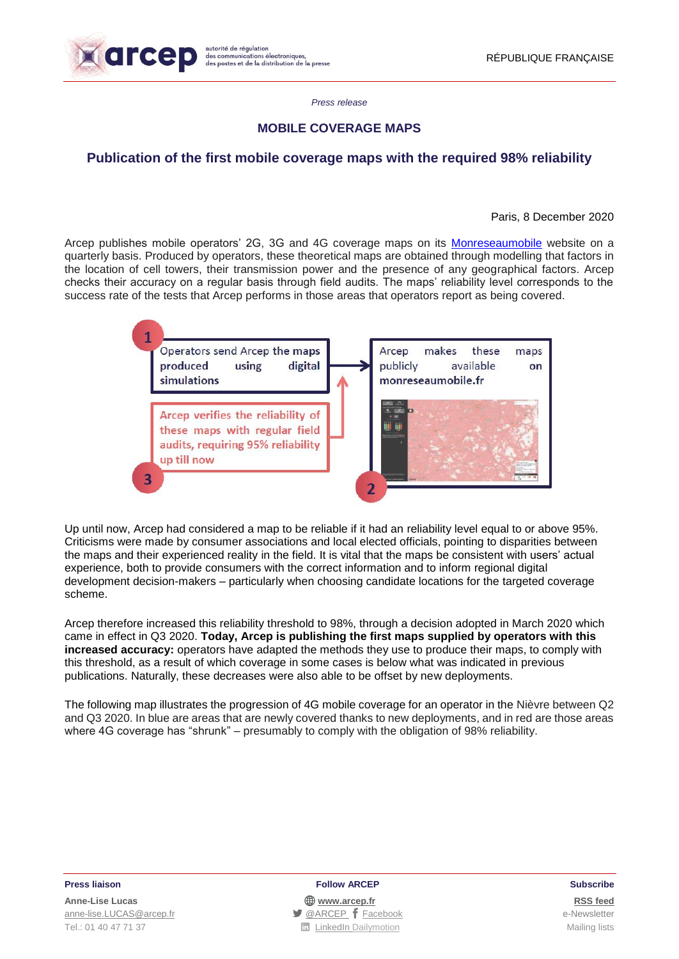

*Press release*

# **MOBILE COVERAGE MAPS**

# **Publication of the first mobile coverage maps with the required 98% reliability**

## Paris, 8 December 2020

Arcep publishes mobile operators' 2G, 3G and 4G coverage maps on its [Monreseaumobile](https://www.monreseaumobile.fr/) website on a quarterly basis. Produced by operators, these theoretical maps are obtained through modelling that factors in the location of cell towers, their transmission power and the presence of any geographical factors. Arcep checks their accuracy on a regular basis through field audits. The maps' reliability level corresponds to the success rate of the tests that Arcep performs in those areas that operators report as being covered.



Up until now, Arcep had considered a map to be reliable if it had an reliability level equal to or above 95%. Criticisms were made by consumer associations and local elected officials, pointing to disparities between the maps and their experienced reality in the field. It is vital that the maps be consistent with users' actual experience, both to provide consumers with the correct information and to inform regional digital development decision-makers – particularly when choosing candidate locations for the targeted coverage scheme.

Arcep therefore increased this reliability threshold to 98%, through a decision adopted in March 2020 which came in effect in Q3 2020. **Today, Arcep is publishing the first maps supplied by operators with this increased accuracy:** operators have adapted the methods they use to produce their maps, to comply with this threshold, as a result of which coverage in some cases is below what was indicated in previous publications. Naturally, these decreases were also able to be offset by new deployments.

The following map illustrates the progression of 4G mobile coverage for an operator in the Nièvre between Q2 and Q3 2020. In blue are areas that are newly covered thanks to new deployments, and in red are those areas where 4G coverage has "shrunk" – presumably to comply with the obligation of 98% reliability.

### **Press liaison Follow ARCEP Subscribe**

**Anne-Lise Lucas [www.arcep.fr](http://www.arcep.fr/) [RSS](/feed/::www.arcep.fr:?eID=tx_rssforge&feedid=2&h=14df1) feed** [anne-lise.LUCAS@arcep.fr](mailto:anne-lise.LUCAS@arcep.fr) **[@ARCEP](http://www.twitter.com/ARCEP) F** [Facebook](https://www.facebook.com/arcep.fr) e-Newsletter Tel.: 01 40 47 71 37 Nailing lists **Tel.: 01 40 47 71 37** Nailing lists